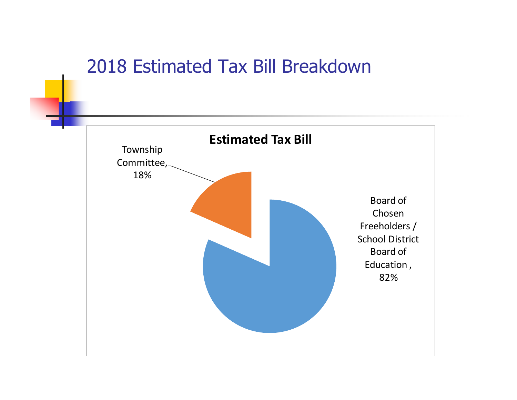### 2018 Estimated Tax Bill Breakdown

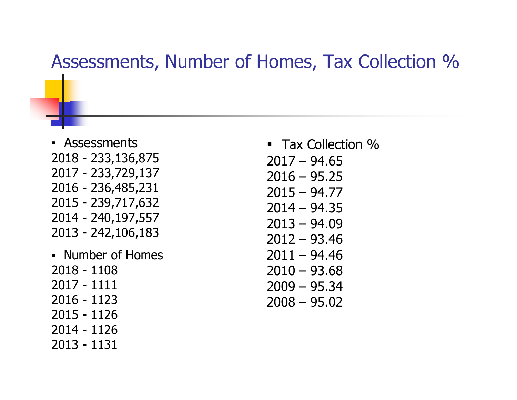#### Assessments, Number of Homes, Tax Collection %

- Assessments 2018 - 233,136,875 2017 - 233,729,137 2016 - 236,485,231 2015 - 239,717,632 2014 - 240,197,557 2013 - 242,106,183
- Number of Homes 2018 - 1108 2017 - 1111 2016 - 1123 2015 - 1126 2014 - 1126 2013 - 1131

■ Tax Collection %  $2017 - 94.65$  $2016 - 95.25$  $2015 - 94.77$  $2014 - 94.35$ 2013 – 94.09 2012 – 93.46  $2011 - 94.46$  $2010 - 93.68$ 2009 – 95.34 2008 – 95.02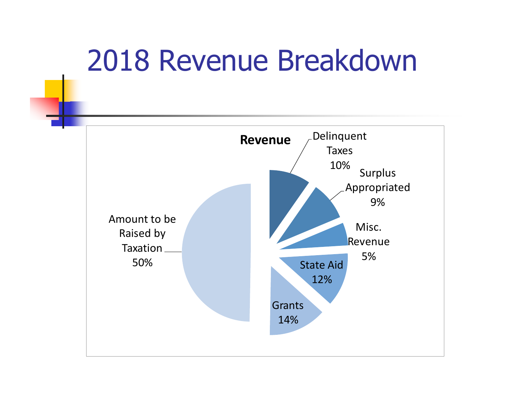# 2018 Revenue Breakdown

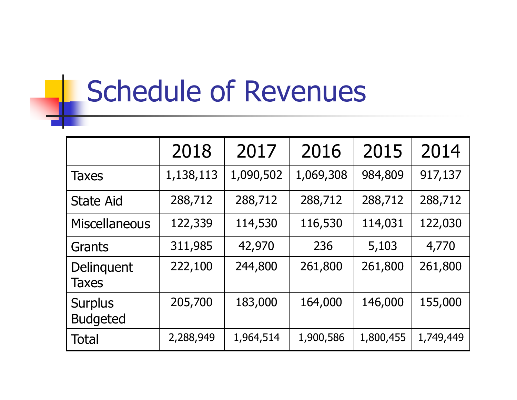# Schedule of Revenues

|                                   | 2018      | 2017      | 2016      | 2015      | 2014      |
|-----------------------------------|-----------|-----------|-----------|-----------|-----------|
| Taxes                             | 1,138,113 | 1,090,502 | 1,069,308 | 984,809   | 917,137   |
| <b>State Aid</b>                  | 288,712   | 288,712   | 288,712   | 288,712   | 288,712   |
| <b>Miscellaneous</b>              | 122,339   | 114,530   | 116,530   | 114,031   | 122,030   |
| Grants                            | 311,985   | 42,970    | 236       | 5,103     | 4,770     |
| Delinquent<br><b>Taxes</b>        | 222,100   | 244,800   | 261,800   | 261,800   | 261,800   |
| <b>Surplus</b><br><b>Budgeted</b> | 205,700   | 183,000   | 164,000   | 146,000   | 155,000   |
| Total                             | 2,288,949 | 1,964,514 | 1,900,586 | 1,800,455 | 1,749,449 |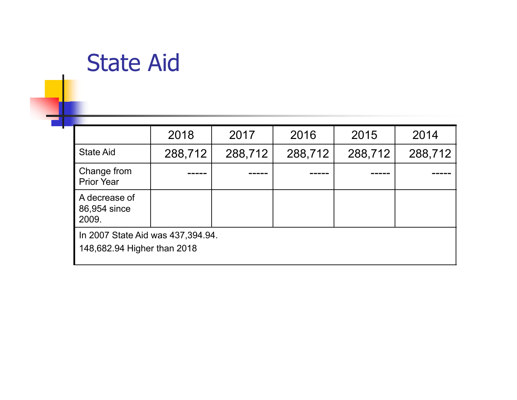## State Aid

|                                                                  | 2018    | 2017    | 2016    | 2015    | 2014    |  |  |
|------------------------------------------------------------------|---------|---------|---------|---------|---------|--|--|
| <b>State Aid</b>                                                 | 288,712 | 288,712 | 288,712 | 288,712 | 288,712 |  |  |
| Change from<br><b>Prior Year</b>                                 |         |         |         |         |         |  |  |
| A decrease of<br>86,954 since<br>2009.                           |         |         |         |         |         |  |  |
| In 2007 State Aid was 437,394.94.<br>148,682.94 Higher than 2018 |         |         |         |         |         |  |  |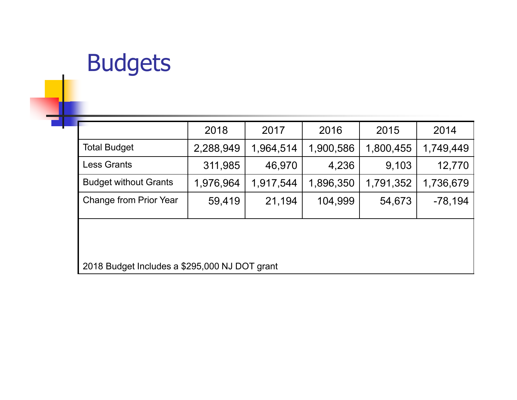## Budgets

|                                               | 2018      | 2017      | 2016      | 2015      | 2014      |  |  |  |  |
|-----------------------------------------------|-----------|-----------|-----------|-----------|-----------|--|--|--|--|
| <b>Total Budget</b>                           | 2,288,949 | 1,964,514 | 1,900,586 | 1,800,455 | 1,749,449 |  |  |  |  |
| <b>Less Grants</b>                            | 311,985   | 46,970    | 4,236     | 9,103     | 12,770    |  |  |  |  |
| <b>Budget without Grants</b>                  | 1,976,964 | 1,917,544 | 1,896,350 | 1,791,352 | 1,736,679 |  |  |  |  |
| Change from Prior Year                        | 59,419    | 21,194    | 104,999   | 54,673    | $-78,194$ |  |  |  |  |
|                                               |           |           |           |           |           |  |  |  |  |
| 2018 Budget Includes a \$295,000 NJ DOT grant |           |           |           |           |           |  |  |  |  |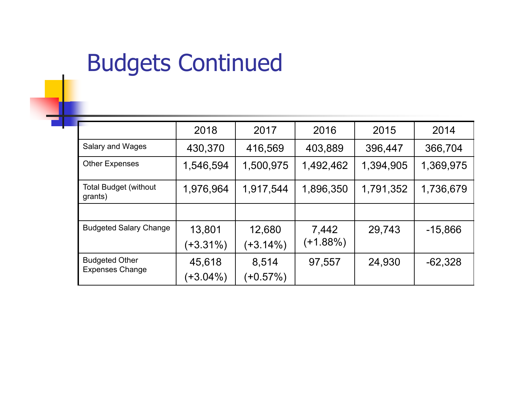## Budgets Continued

|                                                 | 2018        | 2017        | 2016      | 2015      | 2014      |
|-------------------------------------------------|-------------|-------------|-----------|-----------|-----------|
| Salary and Wages                                | 430,370     | 416,569     | 403,889   | 396,447   | 366,704   |
| <b>Other Expenses</b>                           | 1,546,594   | 1,500,975   | 1,492,462 | 1,394,905 | 1,369,975 |
| <b>Total Budget (without</b><br>grants)         | 1,976,964   | 1,917,544   | 1,896,350 | 1,791,352 | 1,736,679 |
|                                                 |             |             |           |           |           |
| <b>Budgeted Salary Change</b>                   | 13,801      | 12,680      | 7,442     | 29,743    | $-15,866$ |
|                                                 | $(+3.31\%)$ | $(+3.14\%)$ | (+1.88%)  |           |           |
| <b>Budgeted Other</b><br><b>Expenses Change</b> | 45,618      | 8,514       | 97,557    | 24,930    | $-62,328$ |
|                                                 | $(+3.04\%)$ | $(+0.57%)$  |           |           |           |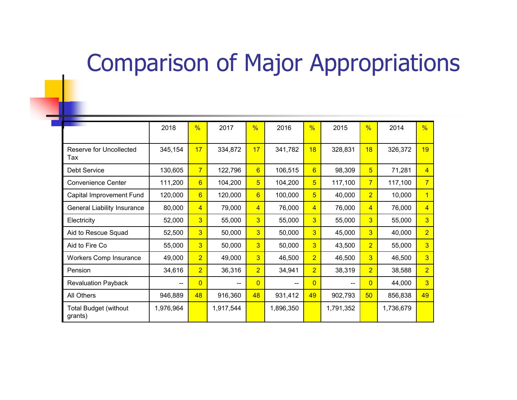## Comparison of Major Appropriations

|                                         | 2018      | $\frac{9}{6}$  | 2017      | $\frac{0}{6}$   | 2016      | $\frac{9}{6}$   | 2015      | $\frac{9}{6}$   | 2014      | $\frac{9}{6}$  |
|-----------------------------------------|-----------|----------------|-----------|-----------------|-----------|-----------------|-----------|-----------------|-----------|----------------|
| Reserve for Uncollected<br>Tax          | 345,154   | 17             | 334,872   | 17              | 341,782   | 18              | 328,831   | 18              | 326,372   | 19             |
| <b>Debt Service</b>                     | 130,605   | 7 <sup>1</sup> | 122,796   | 6               | 106,515   | $6\overline{6}$ | 98,309    | $5\overline{)}$ | 71,281    | $\overline{4}$ |
| <b>Convenience Center</b>               | 111,200   | 6              | 104,200   | $5\overline{)}$ | 104,200   | 5               | 117,100   | $\overline{7}$  | 117,100   | $\overline{7}$ |
| Capital Improvement Fund                | 120,000   | 6              | 120,000   | 6               | 100,000   | $\overline{5}$  | 40,000    | $\overline{2}$  | 10,000    | $\overline{1}$ |
| <b>General Liability Insurance</b>      | 80,000    | $\overline{4}$ | 79,000    | $\overline{4}$  | 76,000    | 4               | 76,000    | $\overline{4}$  | 76,000    | $\overline{4}$ |
| Electricity                             | 52,000    | 3 <sup>1</sup> | 55,000    | $\overline{3}$  | 55,000    | 3               | 55,000    | 3               | 55,000    | $\overline{3}$ |
| Aid to Rescue Squad                     | 52,500    | 3              | 50,000    | $\overline{3}$  | 50,000    | 3               | 45,000    | $\overline{3}$  | 40,000    | $\overline{2}$ |
| Aid to Fire Co                          | 55,000    | $\overline{3}$ | 50,000    | 3               | 50,000    | 3               | 43,500    | $\overline{2}$  | 55,000    | $\overline{3}$ |
| <b>Workers Comp Insurance</b>           | 49,000    | $\overline{2}$ | 49,000    | 3               | 46,500    | $\overline{2}$  | 46,500    | 3               | 46,500    | $\overline{3}$ |
| Pension                                 | 34,616    | $\overline{2}$ | 36,316    | $\overline{2}$  | 34,941    | $\overline{2}$  | 38,319    | $\overline{2}$  | 38,588    | $\overline{2}$ |
| <b>Revaluation Payback</b>              |           | $\overline{0}$ |           | $\Omega$        |           | $\overline{0}$  | --        | $\overline{0}$  | 44,000    | $\overline{3}$ |
| All Others                              | 946,889   | 48             | 916,360   | 48              | 931,412   | 49              | 902,793   | 50              | 856,838   | 49             |
| <b>Total Budget (without</b><br>grants) | 1,976,964 |                | 1,917,544 |                 | 1,896,350 |                 | 1,791,352 |                 | 1,736,679 |                |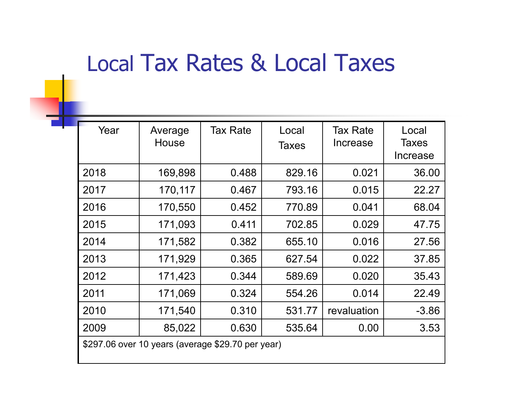## Local Tax Rates & Local Taxes

| Year                                              | Average<br>House | <b>Tax Rate</b> | Local<br><b>Taxes</b> | <b>Tax Rate</b><br>Increase | Local<br><b>Taxes</b><br>Increase |  |
|---------------------------------------------------|------------------|-----------------|-----------------------|-----------------------------|-----------------------------------|--|
| 2018                                              | 169,898          | 0.488           | 829.16                | 0.021                       | 36.00                             |  |
| 2017                                              | 170,117          | 0.467           | 793.16                | 0.015                       | 22.27                             |  |
| 2016                                              | 170,550          | 0.452           | 770.89                | 0.041                       | 68.04                             |  |
| 2015                                              | 171,093          | 0.411           | 702.85                | 0.029                       | 47.75                             |  |
| 2014                                              | 171,582          | 0.382           | 655.10                | 0.016                       | 27.56                             |  |
| 2013                                              | 171,929          | 0.365           | 627.54                | 0.022                       | 37.85                             |  |
| 2012                                              | 171,423          | 0.344           | 589.69                | 0.020                       | 35.43                             |  |
| 2011                                              | 171,069          | 0.324           | 554.26                | 0.014                       | 22.49                             |  |
| 2010                                              | 171,540          | 0.310           | 531.77                | revaluation                 | $-3.86$                           |  |
| 2009                                              | 85,022           | 0.630           | 535.64                | 0.00                        | 3.53                              |  |
| \$297.06 over 10 years (average \$29.70 per year) |                  |                 |                       |                             |                                   |  |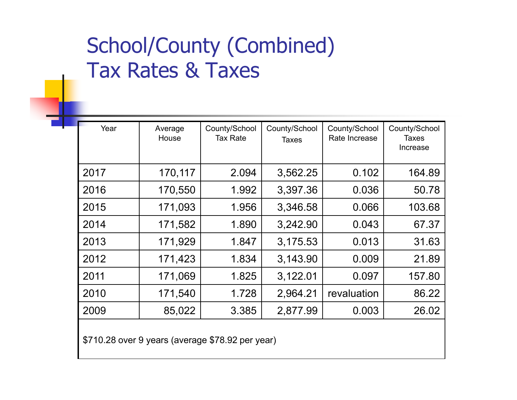### School/County (Combined) Tax Rates & Taxes

| Year | Average<br>House | County/School<br>Tax Rate | County/School<br><b>Taxes</b> | County/School<br>Rate Increase | County/School<br>Taxes<br>Increase |
|------|------------------|---------------------------|-------------------------------|--------------------------------|------------------------------------|
| 2017 | 170,117          | 2.094                     | 3,562.25                      | 0.102                          | 164.89                             |
| 2016 | 170,550          | 1.992                     | 3,397.36                      | 0.036                          | 50.78                              |
| 2015 | 171,093          | 1.956                     | 3,346.58                      | 0.066                          | 103.68                             |
| 2014 | 171,582          | 1.890                     | 3,242.90                      | 0.043                          | 67.37                              |
| 2013 | 171,929          | 1.847                     | 3,175.53                      | 0.013                          | 31.63                              |
| 2012 | 171,423          | 1.834                     | 3,143.90                      | 0.009                          | 21.89                              |
| 2011 | 171,069          | 1.825                     | 3,122.01                      | 0.097                          | 157.80                             |
| 2010 | 171,540          | 1.728                     | 2,964.21                      | revaluation                    | 86.22                              |
| 2009 | 85,022           | 3.385                     | 2,877.99                      | 0.003                          | 26.02                              |
|      |                  |                           |                               |                                |                                    |

\$710.28 over 9 years (average \$78.92 per year)